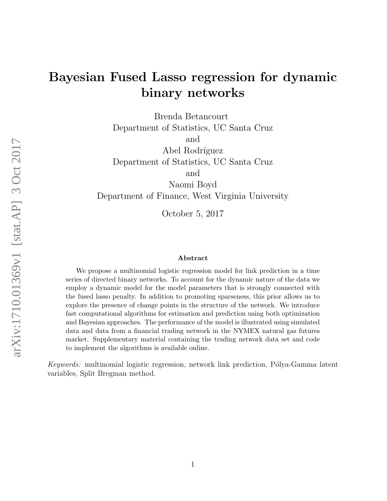# Bayesian Fused Lasso regression for dynamic binary networks

Brenda Betancourt Department of Statistics, UC Santa Cruz and

Abel Rodríguez Department of Statistics, UC Santa Cruz

and

Naomi Boyd Department of Finance, West Virginia University

October 5, 2017

#### Abstract

We propose a multinomial logistic regression model for link prediction in a time series of directed binary networks. To account for the dynamic nature of the data we employ a dynamic model for the model parameters that is strongly connected with the fused lasso penalty. In addition to promoting sparseness, this prior allows us to explore the presence of change points in the structure of the network. We introduce fast computational algorithms for estimation and prediction using both optimization and Bayesian approaches. The performance of the model is illustrated using simulated data and data from a financial trading network in the NYMEX natural gas futures market. Supplementary material containing the trading network data set and code to implement the algorithms is available online.

Keywords: multinomial logistic regression, network link prediction, Pólya-Gamma latent variables, Split Bregman method.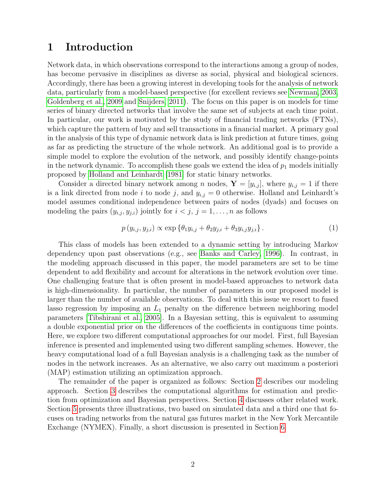# 1 Introduction

Network data, in which observations correspond to the interactions among a group of nodes, has become pervasive in disciplines as diverse as social, physical and biological sciences. Accordingly, there has been a growing interest in developing tools for the analysis of network data, particularly from a model-based perspective (for excellent reviews see [Newman, 2003,](#page-21-0) [Goldenberg et al., 2009](#page-20-0) and [Snijders, 2011\)](#page-22-0). The focus on this paper is on models for time series of binary directed networks that involve the same set of subjects at each time point. In particular, our work is motivated by the study of financial trading networks (FTNs), which capture the pattern of buy and sell transactions in a financial market. A primary goal in the analysis of this type of dynamic network data is link prediction at future times, going as far as predicting the structure of the whole network. An additional goal is to provide a simple model to explore the evolution of the network, and possibly identify change-points in the network dynamic. To accomplish these goals we extend the idea of  $p_1$  models initially proposed by [Holland and Leinhardt](#page-21-1) [\[1981\]](#page-21-1) for static binary networks.

Consider a directed binary network among n nodes,  $\mathbf{Y} = [y_{i,j}]$ , where  $y_{i,j} = 1$  if there is a link directed from node i to node j, and  $y_{i,j} = 0$  otherwise. Holland and Leinhardt's model assumes conditional independence between pairs of nodes (dyads) and focuses on modeling the pairs  $(y_{i,j}, y_{j,i})$  jointly for  $i < j$ ,  $j = 1, \ldots, n$  as follows

<span id="page-1-0"></span>
$$
p(y_{i,j}, y_{j,i}) \propto \exp \{ \theta_1 y_{i,j} + \theta_2 y_{j,i} + \theta_3 y_{i,j} y_{j,i} \}.
$$
 (1)

This class of models has been extended to a dynamic setting by introducing Markov dependency upon past observations (e.g., see [Banks and Carley, 1996\)](#page-19-0). In contrast, in the modeling approach discussed in this paper, the model parameters are set to be time dependent to add flexibility and account for alterations in the network evolution over time. One challenging feature that is often present in model-based approaches to network data is high-dimensionality. In particular, the number of parameters in our proposed model is larger than the number of available observations. To deal with this issue we resort to fused lasso regression by imposing an  $L_1$  penalty on the difference between neighboring model parameters [\[Tibshirani et al., 2005\]](#page-22-1). In a Bayesian setting, this is equivalent to assuming a double exponential prior on the differences of the coefficients in contiguous time points. Here, we explore two different computational approaches for our model. First, full Bayesian inference is presented and implemented using two different sampling schemes. However, the heavy computational load of a full Bayesian analysis is a challenging task as the number of nodes in the network increases. As an alternative, we also carry out maximum a posteriori (MAP) estimation utilizing an optimization approach.

The remainder of the paper is organized as follows: Section [2](#page-2-0) describes our modeling approach. Section [3](#page-3-0) describes the computational algorithms for estimation and prediction from optimization and Bayesian perspectives. Section [4](#page-9-0) discusses other related work. Section [5](#page-11-0) presents three illustrations, two based on simulated data and a third one that focuses on trading networks from the natural gas futures market in the New York Mercantile Exchange (NYMEX). Finally, a short discussion is presented in Section [6.](#page-19-1)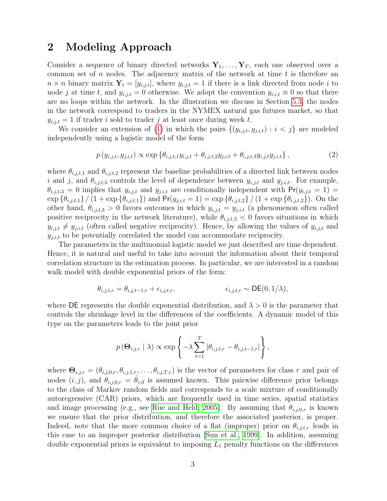# <span id="page-2-0"></span>2 Modeling Approach

Consider a sequence of binary directed networks  $Y_1, \ldots, Y_T$ , each one observed over a common set of  $n$  nodes. The adjacency matrix of the network at time  $t$  is therefore an  $n \times n$  binary matrix  $Y_t = [y_{i,j,t}]$ , where  $y_{i,j,t} = 1$  if there is a link directed from node i to node j at time t, and  $y_{i,j,t} = 0$  otherwise. We adopt the convention  $y_{i,i,t} \equiv 0$  so that there are no loops within the network. In the illustration we discuss in Section [5.3,](#page-16-0) the nodes in the network correspond to traders in the NYMEX natural gas futures market, so that  $y_{i,j,t} = 1$  if trader i sold to trader j at least once during week t.

We consider an extension of [\(1\)](#page-1-0) in which the pairs  $\{(y_{i,j,t}, y_{j,i,t}) : i < j\}$  are modeled independently using a logistic model of the form

$$
p(y_{i,j,t}, y_{j,i,t}) \propto \exp \{ \theta_{i,j,t,1} y_{i,j,t} + \theta_{i,j,t,2} y_{j,i,t} + \theta_{i,j,t,3} y_{i,j,t} y_{j,i,t} \},
$$
\n(2)

where  $\theta_{i,j,t,1}$  and  $\theta_{i,j,t,2}$  represent the baseline probabilities of a directed link between nodes i and j, and  $\theta_{i,j,t,3}$  controls the level of dependence between  $y_{i,j,t}$  and  $y_{j,i,t}$ . For example,  $\theta_{i,j,t,3} = 0$  implies that  $y_{i,j,t}$  and  $y_{j,i,t}$  are conditionally independent with  $Pr(y_{i,j,t} = 1)$  $\exp \{\theta_{i,j,t,1}\} / (1 + \exp \{\theta_{i,j,t,1}\})$  and  $Pr(y_{j,i,t} = 1) = \exp \{\theta_{i,j,t,2}\} / (1 + \exp \{\theta_{i,j,t,2}\})$ . On the other hand,  $\theta_{i,j,t,3} > 0$  favors outcomes in which  $y_{i,j,t} = y_{j,i,t}$  (a phenomenon often called positive reciprocity in the network literature), while  $\theta_{i,j,t,3} < 0$  favors situations in which  $y_{i,j,t} \neq y_{j,i,t}$  (often called negative reciprocity). Hence, by allowing the values of  $y_{i,j,t}$  and  $y_{j,i,t}$  to be potentially correlated the model can accommodate reciprocity.

The parameters in the multinomial logistic model we just described are time dependent. Hence, it is natural and useful to take into account the information about their temporal correlation structure in the estimation process. In particular, we are interested in a random walk model with double exponential priors of the form:

$$
\theta_{i,j,t,r} = \theta_{i,j,t-1,r} + \epsilon_{i,j,t,r}, \qquad \epsilon_{i,j,t,r} \sim \mathsf{DE}(0,1/\lambda),
$$

where DE represents the double exponential distribution, and  $\lambda > 0$  is the parameter that controls the shrinkage level in the differences of the coefficients. A dynamic model of this type on the parameters leads to the joint prior

$$
p(\mathbf{\Theta}_{i,j,r} | \lambda) \propto \exp \left\{-\lambda \sum_{t=1}^T |\theta_{i,j,t,r} - \theta_{i,j,t-1,r}| \right\},\,
$$

where  $\Theta_{i,j,r} = (\theta_{i,j,0,r}, \theta_{i,j,1,r}, \dots, \theta_{i,j,T,r})$  is the vector of parameters for class r and pair of nodes  $(i, j)$ , and  $\theta_{i,j,0,r} = \theta_{r,0}$  is assumed known. This pairwise difference prior belongs to the class of Markov random fields and corresponds to a scale mixture of conditionally autoregressive (CAR) priors, which are frequently used in time series, spatial statistics and image processing (e.g., see [Rue and Held, 2005\)](#page-22-2). By assuming that  $\theta_{i,j,0,r}$  is known we ensure that the prior distribution, and therefore the associated posterior, is proper. Indeed, note that the more common choice of a flat (improper) prior on  $\theta_{i,j,t,r}$  leads in this case to an improper posterior distribution [\[Sun et al., 1999\]](#page-22-3). In addition, assuming double exponential priors is equivalent to imposing  $L_1$  penalty functions on the differences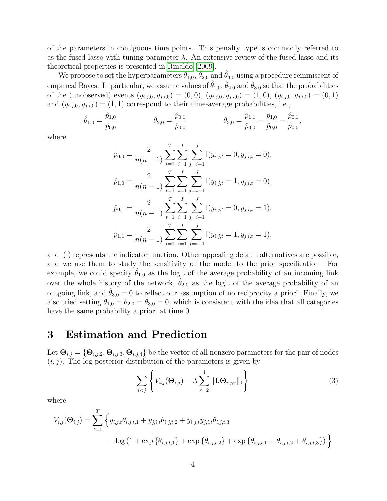of the parameters in contiguous time points. This penalty type is commonly referred to as the fused lasso with tuning parameter  $\lambda$ . An extensive review of the fused lasso and its theoretical properties is presented in [Rinaldo](#page-21-2) [\[2009\]](#page-21-2).

We propose to set the hyperparameters  $\hat{\theta}_{1,0}$ ,  $\hat{\theta}_{2,0}$  and  $\hat{\theta}_{3,0}$  using a procedure reminiscent of empirical Bayes. In particular, we assume values of  $\hat{\theta}_{1,0}$ ,  $\hat{\theta}_{2,0}$  and  $\hat{\theta}_{3,0}$  so that the probabilities of the (unobserved) events  $(y_{i,j,0}, y_{j,i,0}) = (0,0), (y_{i,j,0}, y_{j,i,0}) = (1,0), (y_{i,j,0}, y_{j,i,0}) = (0,1)$ and  $(y_{i,j,0}, y_{j,i,0}) = (1, 1)$  correspond to their time-average probabilities, i.e.,

$$
\hat{\theta}_{1,0} = \frac{\hat{p}_{1,0}}{\hat{p}_{0,0}} \qquad \qquad \hat{\theta}_{2,0} = \frac{\hat{p}_{0,1}}{\hat{p}_{0,0}} \qquad \qquad \hat{\theta}_{3,0} = \frac{\hat{p}_{1,1}}{\hat{p}_{0,0}} - \frac{\hat{p}_{1,0}}{\hat{p}_{0,0}} - \frac{\hat{p}_{0,1}}{\hat{p}_{0,0}},
$$

where

$$
\hat{p}_{0,0} = \frac{2}{n(n-1)} \sum_{t=1}^{T} \sum_{i=1}^{I} \sum_{j=i+1}^{J} I(y_{i,j,t} = 0, y_{j,i,t} = 0),
$$
  
\n
$$
\hat{p}_{1,0} = \frac{2}{n(n-1)} \sum_{t=1}^{T} \sum_{i=1}^{I} \sum_{j=i+1}^{J} I(y_{i,j,t} = 1, y_{j,i,t} = 0),
$$
  
\n
$$
\hat{p}_{0,1} = \frac{2}{n(n-1)} \sum_{t=1}^{T} \sum_{i=1}^{I} \sum_{j=i+1}^{J} I(y_{i,j,t} = 0, y_{j,i,t} = 1),
$$
  
\n
$$
\hat{p}_{1,1} = \frac{2}{n(n-1)} \sum_{t=1}^{T} \sum_{i=1}^{I} \sum_{j=i+1}^{J} I(y_{i,j,t} = 1, y_{j,i,t} = 1),
$$

and  $I(\cdot)$  represents the indicator function. Other appealing default alternatives are possible, and we use them to study the sensitivity of the model to the prior specification. For example, we could specify  $\hat{\theta}_{1,0}$  as the logit of the average probability of an incoming link over the whole history of the network,  $\ddot{\theta}_{2,0}$  as the logit of the average probability of an outgoing link, and  $\hat{\theta}_{3,0} = 0$  to reflect our assumption of no reciprocity a priori. Finally, we also tried setting  $\theta_{1,0} = \theta_{2,0} = \theta_{3,0} = 0$ , which is consistent with the idea that all categories have the same probability a priori at time 0.

# <span id="page-3-0"></span>3 Estimation and Prediction

Let  $\Theta_{i,j} = \{\Theta_{i,j,2}, \Theta_{i,j,3}, \Theta_{i,j,4}\}\$ be the vector of all nonzero parameters for the pair of nodes  $(i, j)$ . The log-posterior distribution of the parameters is given by

<span id="page-3-1"></span>
$$
\sum_{i < j} \left\{ V_{i,j}(\Theta_{i,j}) - \lambda \sum_{r=2}^{4} \|\mathbf{L}\Theta_{i,j,r}\|_1 \right\} \tag{3}
$$

where

$$
V_{i,j}(\Theta_{i,j}) = \sum_{t=1}^{T} \left\{ y_{i,j,t} \theta_{i,j,t,1} + y_{j,i,t} \theta_{i,j,t,2} + y_{i,j,t} y_{j,i,t} \theta_{i,j,t,3} - \log(1 + \exp\left\{ \theta_{i,j,t,1} \right\} + \exp\left\{ \theta_{i,j,t,2} \right\} + \exp\left\{ \theta_{i,j,t,1} + \theta_{i,j,t,2} + \theta_{i,j,t,3} \right\} \right) \right\}
$$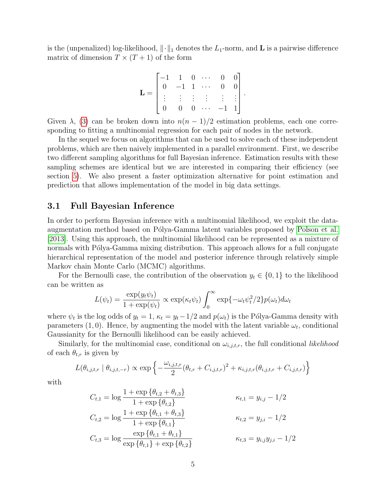is the (unpenalized) log-likelihood,  $\|\cdot\|_1$  denotes the  $L_1$ -norm, and **L** is a pairwise difference matrix of dimension  $T \times (T + 1)$  of the form

$$
\mathbf{L} = \begin{bmatrix} -1 & 1 & 0 & \cdots & 0 & 0 \\ 0 & -1 & 1 & \cdots & 0 & 0 \\ \vdots & \vdots & \vdots & \vdots & \vdots & \vdots \\ 0 & 0 & 0 & \cdots & -1 & 1 \end{bmatrix}.
$$

Given  $\lambda$ , [\(3\)](#page-3-1) can be broken down into  $n(n-1)/2$  estimation problems, each one corresponding to fitting a multinomial regression for each pair of nodes in the network.

In the sequel we focus on algorithms that can be used to solve each of these independent problems, which are then naively implemented in a parallel environment. First, we describe two different sampling algorithms for full Bayesian inference. Estimation results with these sampling schemes are identical but we are interested in comparing their efficiency (see section [5\)](#page-11-0). We also present a faster optimization alternative for point estimation and prediction that allows implementation of the model in big data settings.

### <span id="page-4-0"></span>3.1 Full Bayesian Inference

In order to perform Bayesian inference with a multinomial likelihood, we exploit the data-augmentation method based on Pólya-Gamma latent variables proposed by [Polson et al.](#page-21-3) [\[2013\]](#page-21-3). Using this approach, the multinomial likelihood can be represented as a mixture of normals with Pólya-Gamma mixing distribution. This approach allows for a full conjugate hierarchical representation of the model and posterior inference through relatively simple Markov chain Monte Carlo (MCMC) algorithms.

For the Bernoulli case, the contribution of the observation  $y_t \in \{0,1\}$  to the likelihood can be written as

$$
L(\psi_t) = \frac{\exp(y_t \psi_t)}{1 + \exp(\psi_t)} \propto \exp(\kappa_t \psi_t) \int_0^\infty \exp\{-\omega_t \psi_t^2/2\} p(\omega_t) d\omega_t
$$

where  $\psi_t$  is the log odds of  $y_t = 1$ ,  $\kappa_t = y_t - 1/2$  and  $p(\omega_t)$  is the Pólya-Gamma density with parameters  $(1,0)$ . Hence, by augmenting the model with the latent variable  $\omega_t$ , conditional Gaussianity for the Bernoulli likelihood can be easily achieved.

Similarly, for the multinomial case, conditional on  $\omega_{i,j,t,r}$ , the full conditional likelihood of each  $\theta_{t,r}$  is given by

$$
L(\theta_{i,j,t,r} \mid \theta_{i,j,t,-r}) \propto \exp\left\{-\frac{\omega_{i,j,t,r}}{2}(\theta_{t,r} + C_{i,j,t,r})^2 + \kappa_{i,j,t,r}(\theta_{i,j,t,r} + C_{i,j,t,r})\right\}
$$

with

$$
C_{t,1} = \log \frac{1 + \exp \{\theta_{t,2} + \theta_{t,3}\}}{1 + \exp \{\theta_{t,2}\}}
$$
  
\n
$$
C_{t,2} = \log \frac{1 + \exp \{\theta_{t,1} + \theta_{t,3}\}}{1 + \exp \{\theta_{t,1}\}}
$$
  
\n
$$
C_{t,3} = \log \frac{\exp \{\theta_{t,1} + \theta_{t,1}\}}{\exp \{\theta_{t,1}\} + \exp \{\theta_{t,2}\}}
$$
  
\n
$$
\kappa_{t,3} = y_{i,j} y_{j,i} - 1/2
$$
  
\n
$$
\kappa_{t,4} = y_{i,j} - 1/2
$$
  
\n
$$
\kappa_{t,5} = y_{i,j} y_{j,i} - 1/2
$$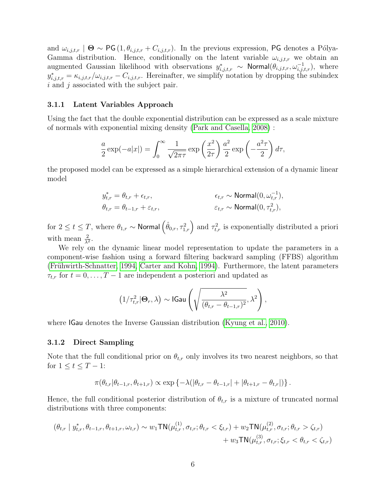and  $\omega_{i,j,t,r}$  |  $\Theta \sim PG(1, \theta_{i,j,t,r} + C_{i,j,t,r})$ . In the previous expression, PG denotes a Pólya-Gamma distribution. Hence, conditionally on the latent variable  $\omega_{i,j,t,r}$  we obtain an augmented Gaussian likelihood with observations  $y^*_{i,j,t,r} \sim \text{Normal}(\theta_{i,j,t,r}, \omega_{i,j,t,r}^{-1}),$  where  $y_{i,j,t,r}^* = \kappa_{i,j,t,r}/\omega_{i,j,t,r} - C_{i,j,t,r}$ . Hereinafter, we simplify notation by dropping the subindex  $i$  and  $j$  associated with the subject pair.

#### <span id="page-5-0"></span>3.1.1 Latent Variables Approach

Using the fact that the double exponential distribution can be expressed as a scale mixture of normals with exponential mixing density [\(Park and Casella, 2008\)](#page-21-4) :

$$
\frac{a}{2}\exp(-a|x|) = \int_0^\infty \frac{1}{\sqrt{2\pi\tau}} \exp\left(\frac{x^2}{2\tau}\right) \frac{a^2}{2} \exp\left(-\frac{a^2\tau}{2}\right) d\tau,
$$

the proposed model can be expressed as a simple hierarchical extension of a dynamic linear model

$$
\begin{aligned}\ny_{t,r}^* &= \theta_{t,r} + \epsilon_{t,r}, & \epsilon_{t,r} & \mathbf{forsmall}(0, \omega_{t,r}^{-1}), \\
\theta_{t,r} &= \theta_{t-1,r} + \varepsilon_{t,r}, & \varepsilon_{t,r} & \sim \text{Normal}(0, \tau_{t,r}^2),\n\end{aligned}
$$

for  $2\leq t\leq T,$  where  $\theta_{1,r}\sim$  Normal  $\left(\hat{\theta}_{0,r},\tau_{1,r}^{2}\right)$  and  $\tau_{t,r}^{2}$  is exponentially distributed a priori with mean  $\frac{2}{\lambda^2}$ .

We rely on the dynamic linear model representation to update the parameters in a component-wise fashion using a forward filtering backward sampling (FFBS) algorithm (Frühwirth-Schnatter, 1994, [Carter and Kohn, 1994\)](#page-20-2). Furthermore, the latent parameters  $\tau_{t,r}$  for  $t = 0, \ldots, T-1$  are independent a posteriori and updated as

$$
\left(1/\tau_{t,r}^2|\Theta_r,\lambda\right)\sim \text{IGau}\left(\sqrt{\frac{\lambda^2}{(\theta_{t,r}-\theta_{t-1,r})^2}},\lambda^2\right),\,
$$

where **IGau** denotes the Inverse Gaussian distribution [\(Kyung et al., 2010\)](#page-21-5).

### <span id="page-5-1"></span>3.1.2 Direct Sampling

Note that the full conditional prior on  $\theta_{t,r}$  only involves its two nearest neighbors, so that for  $1 \leq t \leq T-1$ :

$$
\pi(\theta_{t,r}|\theta_{t-1,r}, \theta_{t+1,r}) \propto \exp \left\{-\lambda(|\theta_{t,r} - \theta_{t-1,r}| + |\theta_{t+1,r} - \theta_{t,r}|)\right\}.
$$

Hence, the full conditional posterior distribution of  $\theta_{t,r}$  is a mixture of truncated normal distributions with three components:

$$
(\theta_{t,r} \mid y_{t,r}^*, \theta_{t-1,r}, \theta_{t+1,r}, \omega_{t,r}) \sim w_1 \text{TN}(\mu_{t,r}^{(1)}, \sigma_{t,r}; \theta_{t,r} < \xi_{t,r}) + w_2 \text{TN}(\mu_{t,r}^{(2)}, \sigma_{t,r}; \theta_{t,r} > \zeta_{t,r}) + w_3 \text{TN}(\mu_{t,r}^{(3)}, \sigma_{t,r}; \xi_{t,r} < \theta_{t,r} < \zeta_{t,r})
$$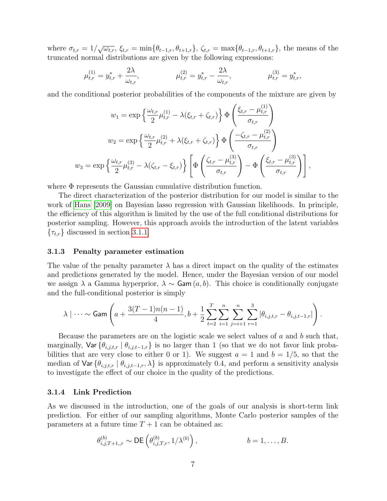where  $\sigma_{t,r} = 1/\sqrt{\omega_{t,r}}, \xi_{t,r} = \min{\{\theta_{t-1,r}, \theta_{t+1,r}\}}, \zeta_{t,r} = \max{\{\theta_{t-1,r}, \theta_{t+1,r}\}},$  the means of the truncated normal distributions are given by the following expressions:

$$
\mu_{t,r}^{(1)} = y_{t,r}^* + \frac{2\lambda}{\omega_{t,r}}, \qquad \mu_{t,r}^{(2)} = y_{t,r}^* - \frac{2\lambda}{\omega_{t,r}}, \qquad \mu_{t,r}^{(3)} = y_{t,r}^*,
$$

and the conditional posterior probabilities of the components of the mixture are given by

$$
w_{1} = \exp\left\{\frac{\omega_{t,r}}{2}\mu_{t,r}^{(1)} - \lambda(\xi_{t,r} + \zeta_{t,r})\right\} \Phi\left(\frac{\xi_{t,r} - \mu_{t,r}^{(1)}}{\sigma_{t,r}}\right)
$$
  

$$
w_{2} = \exp\left\{\frac{\omega_{t,r}}{2}\mu_{t,r}^{(2)} + \lambda(\xi_{t,r} + \zeta_{t,r})\right\} \Phi\left(\frac{-\zeta_{t,r} - \mu_{t,r}^{(2)}}{\sigma_{t,r}}\right)
$$
  

$$
w_{3} = \exp\left\{\frac{\omega_{t,r}}{2}\mu_{t,r}^{(3)} - \lambda(\zeta_{t,r} - \xi_{t,r})\right\} \left[\Phi\left(\frac{\zeta_{t,r} - \mu_{t,r}^{(3)}}{\sigma_{t,r}}\right) - \Phi\left(\frac{\xi_{t,r} - \mu_{t,r}^{(3)}}{\sigma_{t,r}}\right)\right],
$$

where Φ represents the Gaussian cumulative distribution function.

The direct characterization of the posterior distribution for our model is similar to the work of [Hans](#page-21-6) [\[2009\]](#page-21-6) on Bayesian lasso regression with Gaussian likelihoods. In principle, the efficiency of this algorithm is limited by the use of the full conditional distributions for posterior sampling. However, this approach avoids the introduction of the latent variables  $\{\tau_{t,r}\}\$  discussed in section [3.1.1.](#page-5-0)

#### <span id="page-6-0"></span>3.1.3 Penalty parameter estimation

The value of the penalty parameter  $\lambda$  has a direct impact on the quality of the estimates and predictions generated by the model. Hence, under the Bayesian version of our model we assign  $\lambda$  a Gamma hyperprior,  $\lambda \sim$  Gam  $(a, b)$ . This choice is conditionally conjugate and the full-conditional posterior is simply

$$
\lambda \mid \cdots \sim \text{Gam}\left(a + \frac{3(T-1)n(n-1)}{4}, b + \frac{1}{2}\sum_{t=2}^{T} \sum_{i=1}^{n} \sum_{j=i+1}^{n} \sum_{r=1}^{3} |\theta_{i,j,t,r} - \theta_{i,j,t-1,r}|\right).
$$

Because the parameters are on the logistic scale we select values of  $a$  and  $b$  such that, marginally,  $\text{Var} \left\{ \theta_{i,j,t,r} \middle| \theta_{i,j,t-1,r} \right\}$  is no larger than 1 (so that we do not favor link probabilities that are very close to either 0 or 1). We suggest  $a = 1$  and  $b = 1/5$ , so that the median of  $\text{Var} \{\theta_{i,j,t,r} \mid \theta_{i,j,t-1,r}, \lambda\}$  is approximately 0.4, and perform a sensitivity analysis to investigate the effect of our choice in the quality of the predictions.

#### 3.1.4 Link Prediction

As we discussed in the introduction, one of the goals of our analysis is short-term link prediction. For either of our sampling algorithms, Monte Carlo posterior samples of the parameters at a future time  $T + 1$  can be obtained as:

$$
\theta_{i,j,T+1,r}^{(b)} \sim \mathsf{DE}\left(\theta_{i,j,T,r}^{(b)}, 1/\lambda^{(b)}\right), \qquad b=1,\ldots,B.
$$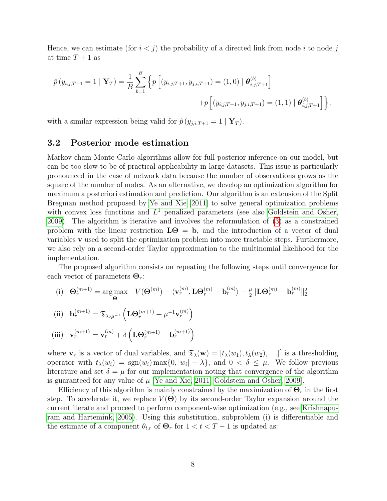Hence, we can estimate (for  $i < j$ ) the probability of a directed link from node i to node j at time  $T+1$  as

$$
\hat{p}(y_{i,j,T+1} = 1 | \mathbf{Y}_T) = \frac{1}{B} \sum_{b=1}^{B} \left\{ p \left[ (y_{i,j,T+1}, y_{j,i,T+1}) = (1,0) | \boldsymbol{\theta}_{i,j,T+1}^{(b)} \right] + p \left[ (y_{i,j,T+1}, y_{j,i,T+1}) = (1,1) | \boldsymbol{\theta}_{i,j,T+1}^{(b)} \right] \right\},
$$

with a similar expression being valid for  $\hat{p}(y_{i,i,T+1} = 1 | Y_T)$ .

### <span id="page-7-0"></span>3.2 Posterior mode estimation

Markov chain Monte Carlo algorithms allow for full posterior inference on our model, but can be too slow to be of practical applicability in large datasets. This issue is particularly pronounced in the case of network data because the number of observations grows as the square of the number of nodes. As an alternative, we develop an optimization algorithm for maximum a posteriori estimation and prediction. Our algorithm is an extension of the Split Bregman method proposed by [Ye and Xie](#page-22-4) [\[2011\]](#page-22-4) to solve general optimization problems with convex loss functions and  $L^1$  penalized parameters (see also [Goldstein and Osher,](#page-20-3) [2009\)](#page-20-3). The algorithm is iterative and involves the reformulation of [\(3\)](#page-3-1) as a constrained problem with the linear restriction  $L\Theta = b$ , and the introduction of a vector of dual variables v used to split the optimization problem into more tractable steps. Furthermore, we also rely on a second-order Taylor approximation to the multinomial likelihood for the implementation.

The proposed algorithm consists on repeating the following steps until convergence for each vector of parameters  $\mathbf{\Theta}_r$ :

(i) 
$$
\mathbf{\Theta}_r^{(m+1)} = \underset{\mathbf{\Theta}}{\arg \max} \quad V(\mathbf{\Theta}^{(m)}) - \langle \mathbf{v}_r^{(m)}, \mathbf{L}\mathbf{\Theta}_r^{(m)} - \mathbf{b}_r^{(m)} \rangle - \frac{\mu}{2} \|\mathbf{L}\mathbf{\Theta}_r^{(m)} - \mathbf{b}_r^{(m)}\|_2^2
$$
  
\n(ii)  $\mathbf{b}_r^{(m+1)} = \mathfrak{T}_{\lambda_2\mu^{-1}} \left( \mathbf{L}\mathbf{\Theta}_r^{(m+1)} + \mu^{-1} \mathbf{v}_r^{(m)} \right)$ 

(iii) 
$$
\mathbf{v}_r^{(m+1)} = \mathbf{v}_r^{(m)} + \delta \left( \mathbf{L} \mathbf{\Theta}_r^{(m+1)} - \mathbf{b}_r^{(m+1)} \right)
$$

where  $\mathbf{v}_r$  is a vector of dual variables, and  $\mathfrak{T}_{\lambda}(\mathbf{w}) = [t_{\lambda}(w_1), t_{\lambda}(w_2), \ldots]$  is a thresholding operator with  $t_{\lambda}(w_i) = \text{sgn}(w_i) \max\{0, |w_i| - \lambda\}$ , and  $0 < \delta \leq \mu$ . We follow previous literature and set  $\delta = \mu$  for our implementation noting that convergence of the algorithm is guaranteed for any value of  $\mu$  |Ye and Xie, 2011, [Goldstein and Osher, 2009\]](#page-20-3).

Efficiency of this algorithm is mainly constrained by the maximization of  $\mathbf{\Theta}_r$  in the first step. To accelerate it, we replace  $V(\Theta)$  by its second-order Taylor expansion around the current iterate and proceed to perform component-wise optimization (e.g., see [Krishnapu](#page-21-7)[ram and Hartemink, 2005\)](#page-21-7). Using this substitution, subproblem (i) is differentiable and the estimate of a component  $\theta_{t,r}$  of  $\Theta_r$  for  $1 < t < T-1$  is updated as: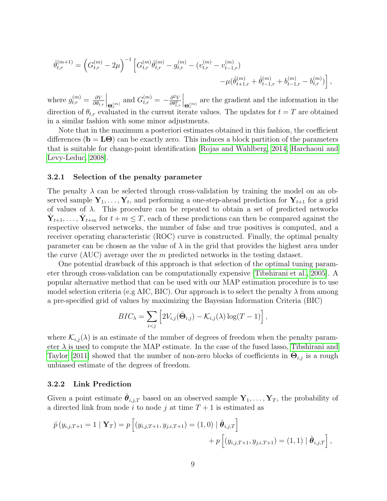$$
\hat{\theta}_{t,r}^{(m+1)} = \left( G_{t,r}^{(m)} - 2\mu \right)^{-1} \left[ G_{t,r}^{(m)} \hat{\theta}_{t,r}^{(m)} - g_{t,r}^{(m)} - (v_{t,r}^{(m)} - v_{t-1,r}^{(m)}) \right. \\
 \left. - \mu (\hat{\theta}_{t+1,r}^{(m)} + \hat{\theta}_{t-1,r}^{(m)} + b_{t-1,r}^{(m)} - b_{t,r}^{(m)}) \right],
$$

where  $g_{t,r}^{(m)} = \frac{\partial V}{\partial \theta_t}$  $\partial \theta_{t,r}$  $\Big\vert_{\Theta_r^{(m)}}$ and  $G_{t,r}^{(m)} = -\frac{\partial^2 V}{\partial \theta^2}$  $\overline{\partial \theta_{t,r}^2}$  $\Big\vert_{\Theta_r^{(m)}}$ are the gradient and the information in the direction of  $\theta_{t,r}$  evaluated in the current iterate values. The updates for  $t = T$  are obtained in a similar fashion with some minor adjustments.

Note that in the maximum a posteriori estimates obtained in this fashion, the coefficient differences ( $\mathbf{b} = \mathbf{L}\boldsymbol{\Theta}$ ) can be exactly zero. This induces a block partition of the parameters that is suitable for change-point identification [\[Rojas and Wahlberg, 2014,](#page-22-5) [Harchaoui and](#page-21-8) [Levy-Leduc, 2008\]](#page-21-8).

#### <span id="page-8-0"></span>3.2.1 Selection of the penalty parameter

The penalty  $\lambda$  can be selected through cross-validation by training the model on an observed sample  $Y_1, \ldots, Y_t$ , and performing a one-step-ahead prediction for  $Y_{t+1}$  for a grid of values of  $\lambda$ . This procedure can be repeated to obtain a set of predicted networks  $\hat{\mathbf{Y}}_{t+1}, \ldots, \hat{\mathbf{Y}}_{t+m}$  for  $t+m \leq T$ , each of these predictions can then be compared against the respective observed networks, the number of false and true positives is computed, and a receiver operating characteristic (ROC) curve is constructed. Finally, the optimal penalty parameter can be chosen as the value of  $\lambda$  in the grid that provides the highest area under the curve  $(AUC)$  average over the m predicted networks in the testing dataset.

One potential drawback of this approach is that selection of the optimal tuning parameter through cross-validation can be computationally expensive [\[Tibshirani et al., 2005\]](#page-22-1). A popular alternative method that can be used with our MAP estimation procedure is to use model selection criteria (e.g AIC, BIC). Our approach is to select the penalty  $\lambda$  from among a pre-specified grid of values by maximizing the Bayesian Information Criteria (BIC)

$$
BIC_{\lambda} = \sum_{i < j} \left[ 2V_{i,j}(\hat{\Theta}_{i,j}) - \mathcal{K}_{i,j}(\lambda) \log(T-1) \right],
$$

where  $\mathcal{K}_{i,j}(\lambda)$  is an estimate of the number of degrees of freedom when the penalty parameter  $\lambda$  is used to compute the MAP estimate. In the case of the fused lasso, [Tibshirani and](#page-22-6) [Taylor](#page-22-6) [\[2011\]](#page-22-6) showed that the number of non-zero blocks of coefficients in  $\hat{\Theta}_{i,j}$  is a rough unbiased estimate of the degrees of freedom.

#### 3.2.2 Link Prediction

Given a point estimate  $\hat{\theta}_{i,j,T}$  based on an observed sample  $Y_1, \ldots, Y_T$ , the probability of a directed link from node i to node j at time  $T+1$  is estimated as

$$
\hat{p}(y_{i,j,T+1} = 1 | \mathbf{Y}_T) = p \left[ (y_{i,j,T+1}, y_{j,i,T+1}) = (1,0) | \hat{\boldsymbol{\theta}}_{i,j,T} \right] + p \left[ (y_{i,j,T+1}, y_{j,i,T+1}) = (1,1) | \hat{\boldsymbol{\theta}}_{i,j,T} \right],
$$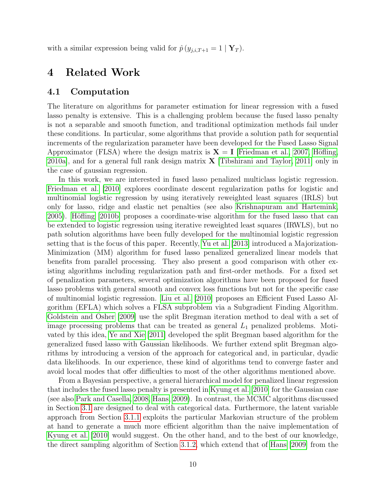with a similar expression being valid for  $\hat{p}(y_{i,i,T+1} = 1 | Y_T)$ .

# <span id="page-9-0"></span>4 Related Work

### 4.1 Computation

The literature on algorithms for parameter estimation for linear regression with a fused lasso penalty is extensive. This is a challenging problem because the fused lasso penalty is not a separable and smooth function, and traditional optimization methods fail under these conditions. In particular, some algorithms that provide a solution path for sequential increments of the regularization parameter have been developed for the Fused Lasso Signal Approximator (FLSA) where the design matrix is  $X = I$  [\[Friedman et al., 2007,](#page-20-4) Höfling, 2010a, and for a general full rank design matrix  $\bf{X}$  Tibshirani and Taylor, 2011 only in the case of gaussian regression.

In this work, we are interested in fused lasso penalized multiclass logistic regression. [Friedman et al.](#page-20-5) [\[2010\]](#page-20-5) explores coordinate descent regularization paths for logistic and multinomial logistic regression by using iteratively reweighted least squares (IRLS) but only for lasso, ridge and elastic net penalties (see also [Krishnapuram and Hartemink,](#page-21-7) [2005\)](#page-21-7). Höfling [\[2010b\]](#page-21-10) proposes a coordinate-wise algorithm for the fused lasso that can be extended to logistic regression using iterative reweighted least squares (IRWLS), but no path solution algorithms have been fully developed for the multinomial logistic regression setting that is the focus of this paper. Recently, [Yu et al.](#page-22-7) [\[2013\]](#page-22-7) introduced a Majorization-Minimization (MM) algorithm for fused lasso penalized generalized linear models that benefits from parallel processing. They also present a good comparison with other existing algorithms including regularization path and first-order methods. For a fixed set of penalization parameters, several optimization algorithms have been proposed for fused lasso problems with general smooth and convex loss functions but not for the specific case of multinomial logistic regression. [Liu et al.](#page-21-11) [\[2010\]](#page-21-11) proposes an Efficient Fused Lasso Algorithm (EFLA) which solves a FLSA subproblem via a Subgradient Finding Algorithm. [Goldstein and Osher](#page-20-3) [\[2009\]](#page-20-3) use the split Bregman iteration method to deal with a set of image processing problems that can be treated as general  $L_1$  penalized problems. Motivated by this idea, [Ye and Xie](#page-22-4) [\[2011\]](#page-22-4) developed the split Bregman based algorithm for the generalized fused lasso with Gaussian likelihoods. We further extend split Bregman algorithms by introducing a version of the approach for categorical and, in particular, dyadic data likelihoods. In our experience, these kind of algorithms tend to converge faster and avoid local modes that offer difficulties to most of the other algorithms mentioned above.

From a Bayesian perspective, a general hierarchical model for penalized linear regression that includes the fused lasso penalty is presented in [Kyung et al.](#page-21-5) [\[2010\]](#page-21-5) for the Gaussian case (see also [Park and Casella, 2008,](#page-21-4) [Hans, 2009\)](#page-21-6). In contrast, the MCMC algorithms discussed in Section [3.1](#page-4-0) are designed to deal with categorical data. Furthermore, the latent variable approach from Section [3.1.1](#page-5-0) exploits the particular Markovian structure of the problem at hand to generate a much more efficient algorithm than the naive implementation of [Kyung et al.](#page-21-5) [\[2010\]](#page-21-5) would suggest. On the other hand, and to the best of our knowledge, the direct sampling algorithm of Section [3.1.2,](#page-5-1) which extend that of [Hans](#page-21-6) [\[2009\]](#page-21-6) from the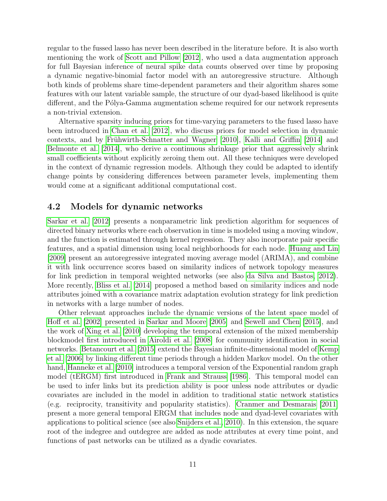regular to the fussed lasso has never been described in the literature before. It is also worth mentioning the work of [Scott and Pillow](#page-22-8) [\[2012\]](#page-22-8), who used a data augmentation approach for full Bayesian inference of neural spike data counts observed over time by proposing a dynamic negative-binomial factor model with an autoregressive structure. Although both kinds of problems share time-dependent parameters and their algorithm shares some features with our latent variable sample, the structure of our dyad-based likelihood is quite different, and the Pólya-Gamma augmentation scheme required for our network represents a non-trivial extension.

Alternative sparsity inducing priors for time-varying parameters to the fused lasso have been introduced in [Chan et al.](#page-20-6) [\[2012\]](#page-20-6), who discuss priors for model selection in dynamic contexts, and by Frühwirth-Schnatter and Wagner  $[2010]$ , [Kalli and Griffin](#page-21-12)  $[2014]$  and [Belmonte et al.](#page-19-2) [\[2014\]](#page-19-2), who derive a continuous shrinkage prior that aggressively shrink small coefficients without explicitly zeroing them out. All these techniques were developed in the context of dynamic regression models. Although they could be adapted to identify change points by considering differences between parameter levels, implementing them would come at a significant additional computational cost.

### 4.2 Models for dynamic networks

[Sarkar et al.](#page-22-9) [\[2012\]](#page-22-9) presents a nonparametric link prediction algorithm for sequences of directed binary networks where each observation in time is modeled using a moving window, and the function is estimated through kernel regression. They also incorporate pair specific features, and a spatial dimension using local neighborhoods for each node. [Huang and Lin](#page-21-13) [\[2009\]](#page-21-13) present an autoregressive integrated moving average model (ARIMA), and combine it with link occurrence scores based on similarity indices of network topology measures for link prediction in temporal weighted networks (see also [da Silva and Bastos, 2012\)](#page-20-8). More recently, [Bliss et al.](#page-20-9) [\[2014\]](#page-20-9) proposed a method based on similarity indices and node attributes joined with a covariance matrix adaptation evolution strategy for link prediction in networks with a large number of nodes.

Other relevant approaches include the dynamic versions of the latent space model of [Hoff et al.](#page-21-14) [\[2002\]](#page-21-14) presented in [Sarkar and Moore](#page-22-10) [\[2005\]](#page-22-10) and [Sewell and Chen](#page-22-11) [\[2015\]](#page-22-11), and the work of [Xing et al.](#page-22-12) [\[2010\]](#page-22-12) developing the temporal extension of the mixed membership blockmodel first introduced in [Airoldi et al.](#page-19-3) [\[2008\]](#page-19-3) for community identification in social networks. [Betancourt et al.](#page-19-4) [\[2015\]](#page-19-4) extend the Bayesian infinite-dimensional model of [Kemp](#page-21-15) [et al.](#page-21-15) [\[2006\]](#page-21-15) by linking different time periods through a hidden Markov model. On the other hand, [Hanneke et al.](#page-20-10) [\[2010\]](#page-20-10) introduces a temporal version of the Exponential random graph model (tERGM) first introduced in [Frank and Strauss](#page-20-11) [\[1986\]](#page-20-11). This temporal model can be used to infer links but its prediction ability is poor unless node attributes or dyadic covariates are included in the model in addition to traditional static network statistics (e.g. reciprocity, transitivity and popularity statistics). [Cranmer and Desmarais](#page-20-12) [\[2011\]](#page-20-12) present a more general temporal ERGM that includes node and dyad-level covariates with applications to political science (see also [Snijders et al., 2010\)](#page-22-13). In this extension, the square root of the indegree and outdegree are added as node attributes at every time point, and functions of past networks can be utilized as a dyadic covariates.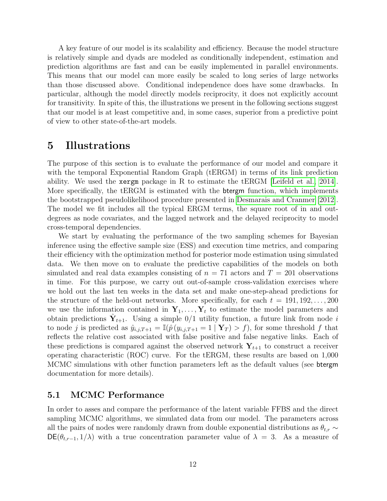A key feature of our model is its scalability and efficiency. Because the model structure is relatively simple and dyads are modeled as conditionally independent, estimation and prediction algorithms are fast and can be easily implemented in parallel environments. This means that our model can more easily be scaled to long series of large networks than those discussed above. Conditional independence does have some drawbacks. In particular, although the model directly models reciprocity, it does not explicitly account for transitivity. In spite of this, the illustrations we present in the following sections suggest that our model is at least competitive and, in some cases, superior from a predictive point of view to other state-of-the-art models.

# <span id="page-11-0"></span>5 Illustrations

The purpose of this section is to evaluate the performance of our model and compare it with the temporal Exponential Random Graph (tERGM) in terms of its link prediction ability. We used the xergm package in R to estimate the tERGM [\[Leifeld et al., 2014\]](#page-21-16). More specifically, the tERGM is estimated with the btergm function, which implements the bootstrapped pseudolikelihood procedure presented in [Desmarais and Cranmer](#page-20-13) [\[2012\]](#page-20-13). The model we fit includes all the typical ERGM terms, the square root of in and outdegrees as node covariates, and the lagged network and the delayed reciprocity to model cross-temporal dependencies.

We start by evaluating the performance of the two sampling schemes for Bayesian inference using the effective sample size (ESS) and execution time metrics, and comparing their efficiency with the optimization method for posterior mode estimation using simulated data. We then move on to evaluate the predictive capabilities of the models on both simulated and real data examples consisting of  $n = 71$  actors and  $T = 201$  observations in time. For this purpose, we carry out out-of-sample cross-validation exercises where we hold out the last ten weeks in the data set and make one-step-ahead predictions for the structure of the held-out networks. More specifically, for each  $t = 191, 192, \ldots, 200$ we use the information contained in  $Y_1, \ldots, Y_t$  to estimate the model parameters and obtain predictions  $\hat{Y}_{t+1}$ . Using a simple 0/1 utility function, a future link from node i to node j is predicted as  $\hat{y}_{i,j,T+1} = \mathbb{I}(\hat{p}(y_{i,j,T+1} = 1 | \mathbf{Y}_T) > f)$ , for some threshold f that reflects the relative cost associated with false positive and false negative links. Each of these predictions is compared against the observed network  $Y_{t+1}$  to construct a receiver operating characteristic (ROC) curve. For the tERGM, these results are based on 1,000 MCMC simulations with other function parameters left as the default values (see btergm documentation for more details).

### 5.1 MCMC Performance

In order to asses and compare the performance of the latent variable FFBS and the direct sampling MCMC algorithms, we simulated data from our model. The parameters across all the pairs of nodes were randomly drawn from double exponential distributions as  $\theta_{t,r} \sim$  $DE(\theta_{t,r-1}, 1/\lambda)$  with a true concentration parameter value of  $\lambda = 3$ . As a measure of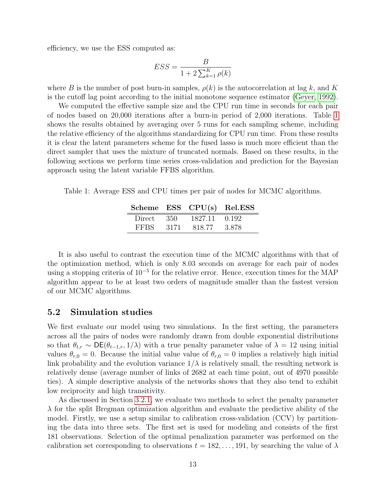efficiency, we use the ESS computed as:

$$
ESS = \frac{B}{1 + 2\sum_{k=1}^{K} \rho(k)}
$$

where B is the number of post burn-in samples,  $\rho(k)$  is the autocorrelation at lag k, and K is the cutoff lag point according to the initial monotone sequence estimator [\(Geyer, 1992\)](#page-20-14).

We computed the effective sample size and the CPU run time in seconds for each pair of nodes based on 20,000 iterations after a burn-in period of 2,000 iterations. Table [1](#page-12-0) shows the results obtained by averaging over 5 runs for each sampling scheme, including the relative efficiency of the algorithms standardizing for CPU run time. From these results it is clear the latent parameters scheme for the fused lasso is much more efficient than the direct sampler that uses the mixture of truncated normals. Based on these results, in the following sections we perform time series cross-validation and prediction for the Bayesian approach using the latent variable FFBS algorithm.

<span id="page-12-0"></span>Table 1: Average ESS and CPU times per pair of nodes for MCMC algorithms.

|             |       | Scheme ESS CPU(s) Rel.ESS |       |
|-------------|-------|---------------------------|-------|
| Direct      | -350- | 1827.11                   | 0.192 |
| <b>FFBS</b> | -3171 | 818.77                    | 3.878 |

It is also useful to contrast the execution time of the MCMC algorithms with that of the optimization method, which is only 8.03 seconds on average for each pair of nodes using a stopping criteria of 10<sup>−</sup><sup>5</sup> for the relative error. Hence, execution times for the MAP algorithm appear to be at least two orders of magnitude smaller than the fastest version of our MCMC algorithms.

### 5.2 Simulation studies

We first evaluate our model using two simulations. In the first setting, the parameters across all the pairs of nodes were randomly drawn from double exponential distributions so that  $\theta_{t,r} \sim \mathsf{DE}(\theta_{t-1,r}, 1/\lambda)$  with a true penalty parameter value of  $\lambda = 12$  using initial values  $\theta_{r,0} = 0$ . Because the initial value value of  $\theta_{r,0} = 0$  implies a relatively high initial link probability and the evolution variance  $1/\lambda$  is relatively small, the resulting network is relatively dense (average number of links of 2682 at each time point, out of 4970 possible ties). A simple descriptive analysis of the networks shows that they also tend to exhibit low reciprocity and high transitivity.

As discussed in Section [3.2.1,](#page-8-0) we evaluate two methods to select the penalty parameter  $\lambda$  for the split Bregman optimization algorithm and evaluate the predictive ability of the model. Firstly, we use a setup similar to calibration cross-validation (CCV) by partitioning the data into three sets. The first set is used for modeling and consists of the first 181 observations. Selection of the optimal penalization parameter was performed on the calibration set corresponding to observations  $t = 182, \ldots, 191$ , by searching the value of  $\lambda$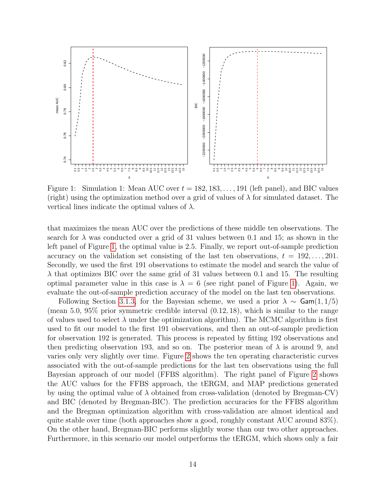

<span id="page-13-0"></span>Figure 1: Simulation 1: Mean AUC over  $t = 182, 183, \ldots, 191$  (left panel), and BIC values (right) using the optimization method over a grid of values of  $\lambda$  for simulated dataset. The vertical lines indicate the optimal values of  $\lambda$ .

that maximizes the mean AUC over the predictions of these middle ten observations. The search for  $\lambda$  was conducted over a grid of 31 values between 0.1 and 15; as shown in the left panel of Figure [1,](#page-13-0) the optimal value is 2.5. Finally, we report out-of-sample prediction accuracy on the validation set consisting of the last ten observations,  $t = 192, \ldots, 201$ . Secondly, we used the first 191 observations to estimate the model and search the value of  $\lambda$  that optimizes BIC over the same grid of 31 values between 0.1 and 15. The resulting optimal parameter value in this case is  $\lambda = 6$  (see right panel of Figure [1\)](#page-13-0). Again, we evaluate the out-of-sample prediction accuracy of the model on the last ten observations.

Following Section [3.1.3,](#page-6-0) for the Bayesian scheme, we used a prior  $\lambda \sim$  Gam $(1, 1/5)$ (mean 5.0, 95% prior symmetric credible interval (0.12, 18), which is similar to the range of values used to select  $\lambda$  under the optimization algorithm). The MCMC algorithm is first used to fit our model to the first 191 observations, and then an out-of-sample prediction for observation 192 is generated. This process is repeated by fitting 192 observations and then predicting observation 193, and so on. The posterior mean of  $\lambda$  is around 9, and varies only very slightly over time. Figure [2](#page-14-0) shows the ten operating characteristic curves associated with the out-of-sample predictions for the last ten observations using the full Bayesian approach of our model (FFBS algorithm). The right panel of Figure [2](#page-14-0) shows the AUC values for the FFBS approach, the tERGM, and MAP predictions generated by using the optimal value of  $\lambda$  obtained from cross-validation (denoted by Bregman-CV) and BIC (denoted by Bregman-BIC). The prediction accuracies for the FFBS algorithm and the Bregman optimization algorithm with cross-validation are almost identical and quite stable over time (both approaches show a good, roughly constant AUC around 83%). On the other hand, Bregman-BIC performs slightly worse than our two other approaches. Furthermore, in this scenario our model outperforms the tERGM, which shows only a fair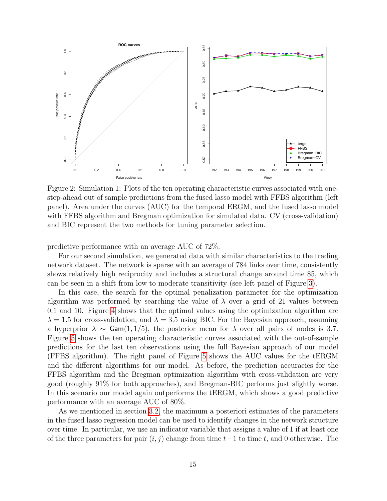

<span id="page-14-0"></span>Figure 2: Simulation 1: Plots of the ten operating characteristic curves associated with onestep-ahead out of sample predictions from the fused lasso model with FFBS algorithm (left panel). Area under the curves (AUC) for the temporal ERGM, and the fused lasso model with FFBS algorithm and Bregman optimization for simulated data. CV (cross-validation) and BIC represent the two methods for tuning parameter selection.

predictive performance with an average AUC of 72%.

For our second simulation, we generated data with similar characteristics to the trading network dataset. The network is sparse with an average of 784 links over time, consistently shows relatively high reciprocity and includes a structural change around time 85, which can be seen in a shift from low to moderate transitivity (see left panel of Figure [3\)](#page-15-0).

In this case, the search for the optimal penalization parameter for the optimization algorithm was performed by searching the value of  $\lambda$  over a grid of 21 values between 0.1 and 10. Figure [4](#page-15-1) shows that the optimal values using the optimization algorithm are  $\lambda = 1.5$  for cross-validation, and  $\lambda = 3.5$  using BIC. For the Bayesian approach, assuming a hyperprior  $\lambda \sim$  Gam $(1, 1/5)$ , the posterior mean for  $\lambda$  over all pairs of nodes is 3.7. Figure [5](#page-16-1) shows the ten operating characteristic curves associated with the out-of-sample predictions for the last ten observations using the full Bayesian approach of our model (FFBS algorithm). The right panel of Figure [5](#page-16-1) shows the AUC values for the tERGM and the different algorithms for our model. As before, the prediction accuracies for the FFBS algorithm and the Bregman optimization algorithm with cross-validation are very good (roughly 91% for both approaches), and Bregman-BIC performs just slightly worse. In this scenario our model again outperforms the tERGM, which shows a good predictive performance with an average AUC of 80%.

As we mentioned in section [3.2,](#page-7-0) the maximum a posteriori estimates of the parameters in the fused lasso regression model can be used to identify changes in the network structure over time. In particular, we use an indicator variable that assigns a value of 1 if at least one of the three parameters for pair  $(i, j)$  change from time  $t-1$  to time t, and 0 otherwise. The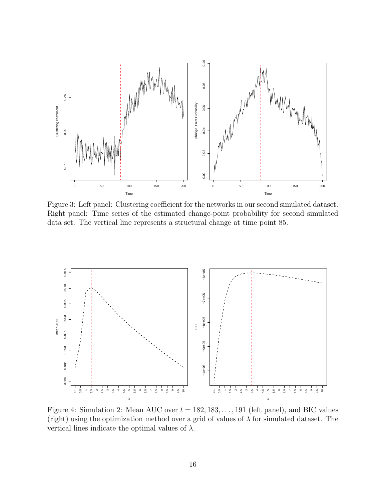

<span id="page-15-0"></span>Figure 3: Left panel: Clustering coefficient for the networks in our second simulated dataset. Right panel: Time series of the estimated change-point probability for second simulated data set. The vertical line represents a structural change at time point 85.



<span id="page-15-1"></span>Figure 4: Simulation 2: Mean AUC over  $t = 182, 183, \ldots, 191$  (left panel), and BIC values (right) using the optimization method over a grid of values of  $\lambda$  for simulated dataset. The vertical lines indicate the optimal values of  $\lambda$ .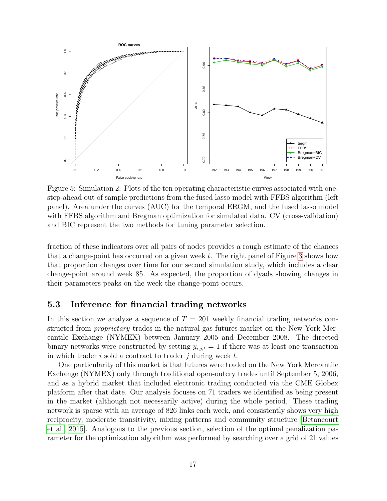

<span id="page-16-1"></span>Figure 5: Simulation 2: Plots of the ten operating characteristic curves associated with onestep-ahead out of sample predictions from the fused lasso model with FFBS algorithm (left panel). Area under the curves (AUC) for the temporal ERGM, and the fused lasso model with FFBS algorithm and Bregman optimization for simulated data. CV (cross-validation) and BIC represent the two methods for tuning parameter selection.

fraction of these indicators over all pairs of nodes provides a rough estimate of the chances that a change-point has occurred on a given week  $t$ . The right panel of Figure [3](#page-15-0) shows how that proportion changes over time for our second simulation study, which includes a clear change-point around week 85. As expected, the proportion of dyads showing changes in their parameters peaks on the week the change-point occurs.

### <span id="page-16-0"></span>5.3 Inference for financial trading networks

In this section we analyze a sequence of  $T = 201$  weekly financial trading networks constructed from *proprietary* trades in the natural gas futures market on the New York Mercantile Exchange (NYMEX) between January 2005 and December 2008. The directed binary networks were constructed by setting  $y_{i,j,t} = 1$  if there was at least one transaction in which trader  $i$  sold a contract to trader  $j$  during week  $t$ .

One particularity of this market is that futures were traded on the New York Mercantile Exchange (NYMEX) only through traditional open-outcry trades until September 5, 2006, and as a hybrid market that included electronic trading conducted via the CME Globex platform after that date. Our analysis focuses on 71 traders we identified as being present in the market (although not necessarily active) during the whole period. These trading network is sparse with an average of 826 links each week, and consistently shows very high reciprocity, moderate transitivity, mixing patterns and community structure [\[Betancourt](#page-19-4) [et al., 2015\]](#page-19-4). Analogous to the previous section, selection of the optimal penalization parameter for the optimization algorithm was performed by searching over a grid of 21 values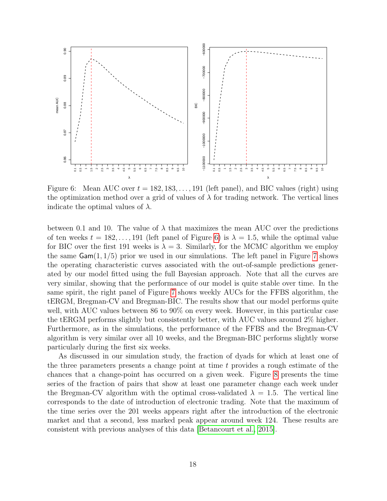

<span id="page-17-0"></span>Figure 6: Mean AUC over  $t = 182, 183, \ldots, 191$  (left panel), and BIC values (right) using the optimization method over a grid of values of  $\lambda$  for trading network. The vertical lines indicate the optimal values of  $\lambda$ .

between 0.1 and 10. The value of  $\lambda$  that maximizes the mean AUC over the predictions of ten weeks  $t = 182, \ldots, 191$  (left panel of Figure [6\)](#page-17-0) is  $\lambda = 1.5$ , while the optimal value for BIC over the first 191 weeks is  $\lambda = 3$ . Similarly, for the MCMC algorithm we employ the same  $Gam(1, 1/5)$  prior we used in our simulations. The left panel in Figure [7](#page-18-0) shows the operating characteristic curves associated with the out-of-sample predictions generated by our model fitted using the full Bayesian approach. Note that all the curves are very similar, showing that the performance of our model is quite stable over time. In the same spirit, the right panel of Figure [7](#page-18-0) shows weekly AUCs for the FFBS algorithm, the tERGM, Bregman-CV and Bregman-BIC. The results show that our model performs quite well, with AUC values between 86 to 90% on every week. However, in this particular case the tERGM performs slightly but consistently better, with AUC values around 2% higher. Furthermore, as in the simulations, the performance of the FFBS and the Bregman-CV algorithm is very similar over all 10 weeks, and the Bregman-BIC performs slightly worse particularly during the first six weeks.

As discussed in our simulation study, the fraction of dyads for which at least one of the three parameters presents a change point at time t provides a rough estimate of the chances that a change-point has occurred on a given week. Figure [8](#page-18-1) presents the time series of the fraction of pairs that show at least one parameter change each week under the Bregman-CV algorithm with the optimal cross-validated  $\lambda = 1.5$ . The vertical line corresponds to the date of introduction of electronic trading. Note that the maximum of the time series over the 201 weeks appears right after the introduction of the electronic market and that a second, less marked peak appear around week 124. These results are consistent with previous analyses of this data [\[Betancourt et al., 2015\]](#page-19-4).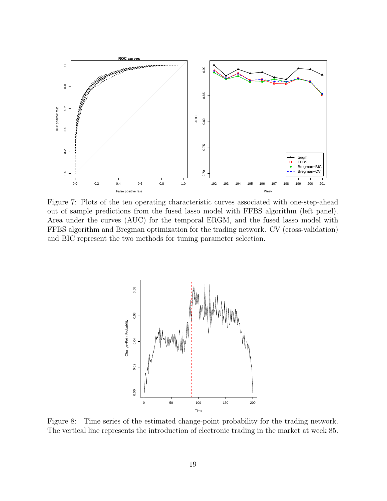

<span id="page-18-0"></span>Figure 7: Plots of the ten operating characteristic curves associated with one-step-ahead out of sample predictions from the fused lasso model with FFBS algorithm (left panel). Area under the curves (AUC) for the temporal ERGM, and the fused lasso model with FFBS algorithm and Bregman optimization for the trading network. CV (cross-validation) and BIC represent the two methods for tuning parameter selection.



<span id="page-18-1"></span>Figure 8: Time series of the estimated change-point probability for the trading network. The vertical line represents the introduction of electronic trading in the market at week 85.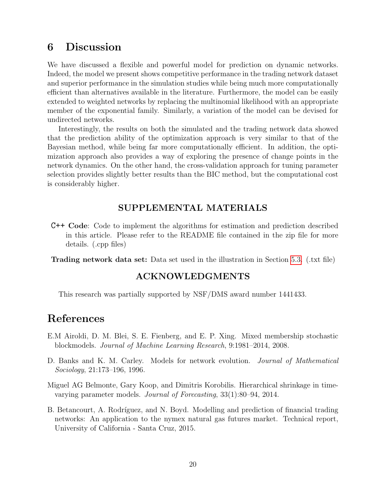# <span id="page-19-1"></span>6 Discussion

We have discussed a flexible and powerful model for prediction on dynamic networks. Indeed, the model we present shows competitive performance in the trading network dataset and superior performance in the simulation studies while being much more computationally efficient than alternatives available in the literature. Furthermore, the model can be easily extended to weighted networks by replacing the multinomial likelihood with an appropriate member of the exponential family. Similarly, a variation of the model can be devised for undirected networks.

Interestingly, the results on both the simulated and the trading network data showed that the prediction ability of the optimization approach is very similar to that of the Bayesian method, while being far more computationally efficient. In addition, the optimization approach also provides a way of exploring the presence of change points in the network dynamics. On the other hand, the cross-validation approach for tuning parameter selection provides slightly better results than the BIC method, but the computational cost is considerably higher.

### SUPPLEMENTAL MATERIALS

C++ Code: Code to implement the algorithms for estimation and prediction described in this article. Please refer to the README file contained in the zip file for more details. (.cpp files)

Trading network data set: Data set used in the illustration in Section [5.3.](#page-16-0) (.txt file)

### ACKNOWLEDGMENTS

This research was partially supported by NSF/DMS award number 1441433.

# References

- <span id="page-19-3"></span>E.M Airoldi, D. M. Blei, S. E. Fienberg, and E. P. Xing. Mixed membership stochastic blockmodels. Journal of Machine Learning Research, 9:1981–2014, 2008.
- <span id="page-19-0"></span>D. Banks and K. M. Carley. Models for network evolution. Journal of Mathematical Sociology, 21:173–196, 1996.
- <span id="page-19-2"></span>Miguel AG Belmonte, Gary Koop, and Dimitris Korobilis. Hierarchical shrinkage in timevarying parameter models. Journal of Forecasting, 33(1):80–94, 2014.
- <span id="page-19-4"></span>B. Betancourt, A. Rodríguez, and N. Boyd. Modelling and prediction of financial trading networks: An application to the nymex natural gas futures market. Technical report, University of California - Santa Cruz, 2015.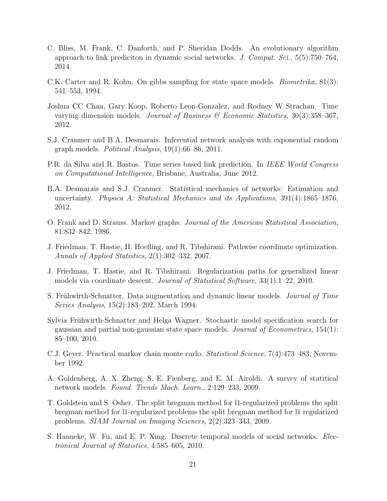- <span id="page-20-9"></span>C. Bliss, M. Frank, C. Danforth, and P. Sheridan Dodds. An evolutionary algorithm approach to link prediciton in dynamic social networks. J. Comput.  $Sci$ ,  $5(5)$ :750–764, 2014.
- <span id="page-20-2"></span>C.K. Carter and R. Kohn. On gibbs sampling for state space models. Biometrika, 81(3): 541–553, 1994.
- <span id="page-20-6"></span>Joshua CC Chan, Gary Koop, Roberto Leon-Gonzalez, and Rodney W Strachan. Time varying dimension models. Journal of Business  $\mathscr$  Economic Statistics, 30(3):358–367, 2012.
- <span id="page-20-12"></span>S.J. Cranmer and B.A. Desmarais. Inferential network analysis with exponential random graph models. Political Analysis, 19(1):66–86, 2011.
- <span id="page-20-8"></span>P.R. da Silva and R. Bastos. Time series based link prediction. In IEEE World Congress on Computational Intelligence, Brisbane, Australia, June 2012.
- <span id="page-20-13"></span>B.A. Desmarais and S.J. Cranmer. Statistical mechanics of networks: Estimation and uncertainty. Physica A: Statistical Mechanics and its Applications,  $391(4):1865-1876$ , 2012.
- <span id="page-20-11"></span>O. Frank and D. Strauss. Markov graphs. Journal of the American Statistical Association, 81:832–842, 1986.
- <span id="page-20-4"></span>J. Friedman, T. Hastie, H. Hoefling, and R. Tibshirani. Pathwise coordinate optimization. Annals of Applied Statistics, 2(1):302–332, 2007.
- <span id="page-20-5"></span>J. Friedman, T. Hastie, and R. Tibshirani. Regularization paths for generalized linear models via coordinate descent. Journal of Statistical Software, 33(1):1–22, 2010.
- <span id="page-20-1"></span>S. Frühwirth-Schnatter. Data augmentation and dynamic linear models. Journal of Time Series Analysis, 15(2):183–202, March 1994.
- <span id="page-20-7"></span>Sylvia Frühwirth-Schnatter and Helga Wagner. Stochastic model specification search for gaussian and partial non-gaussian state space models. *Journal of Econometrics*,  $154(1)$ : 85–100, 2010.
- <span id="page-20-14"></span>C.J. Geyer. Practical markov chain monte carlo. Statistical Science, 7(4):473–483, November 1992.
- <span id="page-20-0"></span>A. Goldenberg, A. X. Zheng, S. E. Fienberg, and E. M. Airoldi. A survey of statitical network models. Found. Trends Mach. Learn., 2:129–233, 2009.
- <span id="page-20-3"></span>T. Goldstein and S. Osher. The split bregman method for l1-regularized problems the split bregman method for l1-regularized problems the split bregman method for l1 regularized problems. SIAM Journal on Imaging Sciences, 2(2):323–343, 2009.
- <span id="page-20-10"></span>S. Hanneke, W. Fu, and E. P. Xing. Discrete temporal models of social networks. Electronical Journal of Statistics, 4:585–605, 2010.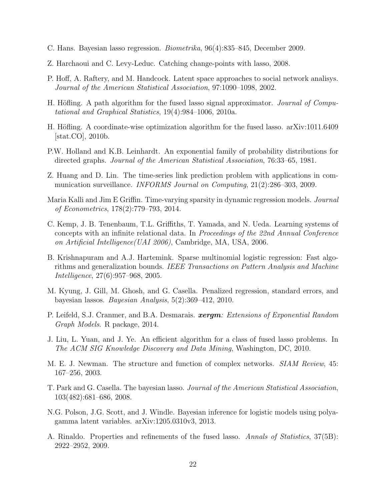- <span id="page-21-6"></span>C. Hans. Bayesian lasso regression. Biometrika, 96(4):835–845, December 2009.
- <span id="page-21-8"></span>Z. Harchaoui and C. Levy-Leduc. Catching change-points with lasso, 2008.
- <span id="page-21-14"></span>P. Hoff, A. Raftery, and M. Handcock. Latent space approaches to social network analisys. Journal of the American Statistical Association, 97:1090–1098, 2002.
- <span id="page-21-9"></span>H. Höfling. A path algorithm for the fused lasso signal approximator. *Journal of Compu*tational and Graphical Statistics, 19(4):984–1006, 2010a.
- <span id="page-21-10"></span>H. Höfling. A coordinate-wise optimization algorithm for the fused lasso. arXiv:1011.6409 [stat.CO], 2010b.
- <span id="page-21-1"></span>P.W. Holland and K.B. Leinhardt. An exponential family of probability distributions for directed graphs. Journal of the American Statistical Association, 76:33–65, 1981.
- <span id="page-21-13"></span>Z. Huang and D. Lin. The time-series link prediction problem with applications in communication surveillance. INFORMS Journal on Computing, 21(2):286–303, 2009.
- <span id="page-21-12"></span>Maria Kalli and Jim E Griffin. Time-varying sparsity in dynamic regression models. Journal of Econometrics, 178(2):779–793, 2014.
- <span id="page-21-15"></span>C. Kemp, J. B. Tenenbaum, T.L. Griffiths, T. Yamada, and N. Ueda. Learning systems of concepts with an infinite relational data. In Proceedings of the 22nd Annual Conference on Artificial Intelligence(UAI 2006), Cambridge, MA, USA, 2006.
- <span id="page-21-7"></span>B. Krishnapuram and A.J. Hartemink. Sparse multinomial logistic regression: Fast algorithms and generalization bounds. IEEE Transactions on Pattern Analysis and Machine Intelligence, 27(6):957–968, 2005.
- <span id="page-21-5"></span>M. Kyung, J. Gill, M. Ghosh, and G. Casella. Penalized regression, standard errors, and bayesian lassos. Bayesian Analysis, 5(2):369–412, 2010.
- <span id="page-21-16"></span>P. Leifeld, S.J. Cranmer, and B.A. Desmarais. **xergm**: Extensions of Exponential Random Graph Models. R package, 2014.
- <span id="page-21-11"></span>J. Liu, L. Yuan, and J. Ye. An efficient algorithm for a class of fused lasso problems. In The ACM SIG Knowledge Discovery and Data Mining, Washington, DC, 2010.
- <span id="page-21-0"></span>M. E. J. Newman. The structure and function of complex networks. SIAM Review, 45: 167–256, 2003.
- <span id="page-21-4"></span>T. Park and G. Casella. The bayesian lasso. Journal of the American Statistical Association, 103(482):681–686, 2008.
- <span id="page-21-3"></span>N.G. Polson, J.G. Scott, and J. Windle. Bayesian inference for logistic models using polyagamma latent variables. arXiv:1205.0310v3, 2013.
- <span id="page-21-2"></span>A. Rinaldo. Properties and refinements of the fused lasso. Annals of Statistics, 37(5B): 2922–2952, 2009.